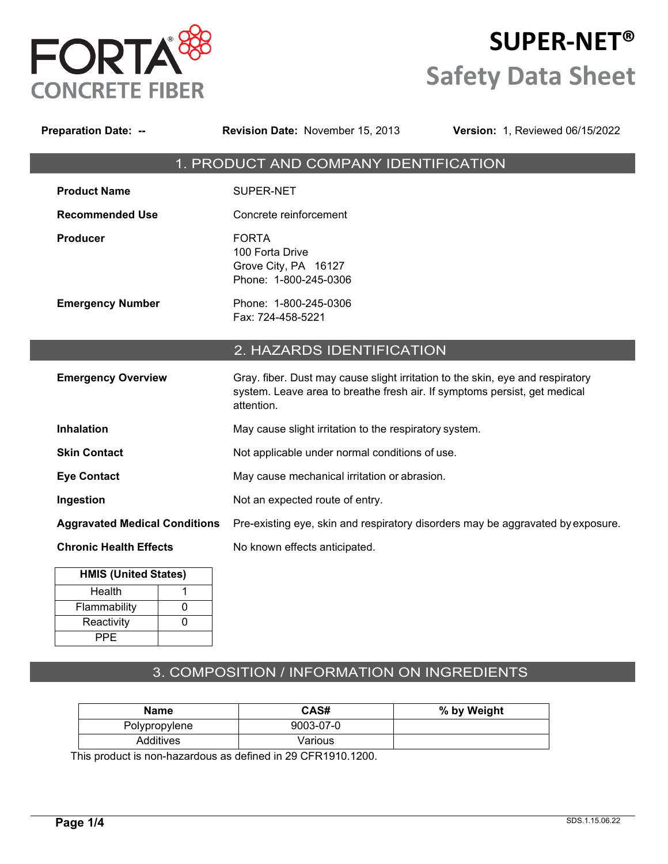

# **SUPER-NET® Safety Data Sheet**

| <b>Preparation Date: --</b>          | <b>Revision Date: November 15, 2013</b>                                                                                                                                   | Version: 1, Reviewed 06/15/2022 |
|--------------------------------------|---------------------------------------------------------------------------------------------------------------------------------------------------------------------------|---------------------------------|
|                                      | 1. PRODUCT AND COMPANY IDENTIFICATION                                                                                                                                     |                                 |
| <b>Product Name</b>                  | SUPER-NET                                                                                                                                                                 |                                 |
| <b>Recommended Use</b>               | Concrete reinforcement                                                                                                                                                    |                                 |
| <b>Producer</b>                      | <b>FORTA</b><br>100 Forta Drive<br>Grove City, PA 16127<br>Phone: 1-800-245-0306                                                                                          |                                 |
| <b>Emergency Number</b>              | Phone: 1-800-245-0306<br>Fax: 724-458-5221                                                                                                                                |                                 |
|                                      | 2. HAZARDS IDENTIFICATION                                                                                                                                                 |                                 |
| <b>Emergency Overview</b>            | Gray. fiber. Dust may cause slight irritation to the skin, eye and respiratory<br>system. Leave area to breathe fresh air. If symptoms persist, get medical<br>attention. |                                 |
| <b>Inhalation</b>                    | May cause slight irritation to the respiratory system.                                                                                                                    |                                 |
| <b>Skin Contact</b>                  | Not applicable under normal conditions of use.                                                                                                                            |                                 |
| <b>Eye Contact</b>                   | May cause mechanical irritation or abrasion.                                                                                                                              |                                 |
| Ingestion                            | Not an expected route of entry.                                                                                                                                           |                                 |
| <b>Aggravated Medical Conditions</b> | Pre-existing eye, skin and respiratory disorders may be aggravated by exposure.                                                                                           |                                 |
| <b>Chronic Health Effects</b>        | No known effects anticipated.                                                                                                                                             |                                 |
| <b>HMIS (United States)</b>          |                                                                                                                                                                           |                                 |
| Health<br>1                          |                                                                                                                                                                           |                                 |
| Flammability<br>0                    |                                                                                                                                                                           |                                 |
| $\mathbf 0$<br>Reactivity            |                                                                                                                                                                           |                                 |

# 3. COMPOSITION / INFORMATION ON INGREDIENTS

| <b>Name</b>   | CAS#      | % by Weight |
|---------------|-----------|-------------|
| Polypropylene | 9003-07-0 |             |
| Additives     | Various   |             |

This product is non-hazardous as defined in 29 CFR1910.1200.

PPE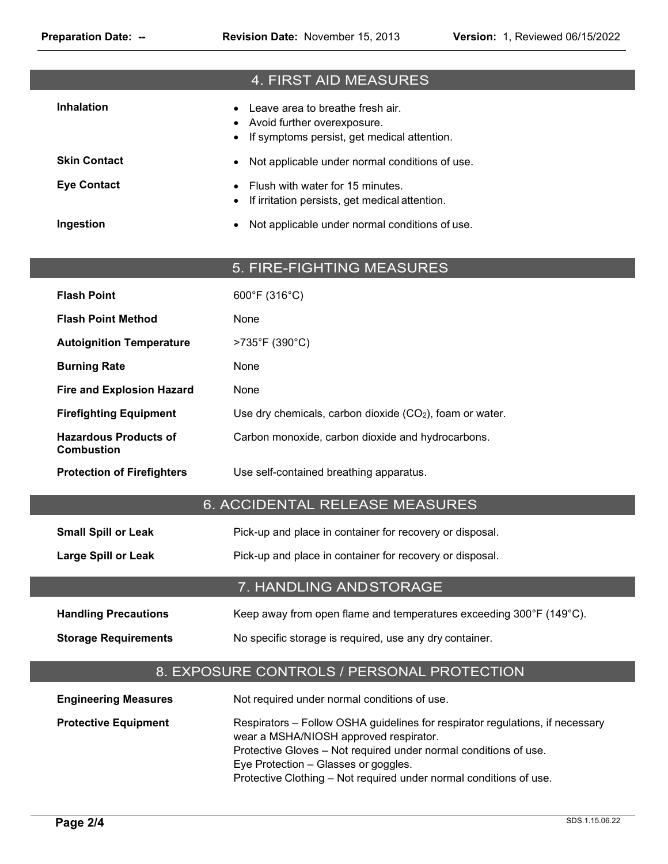|                                                   | 4. FIRST AID MEASURES                                                                                                                                                                                                                                                                                     |  |
|---------------------------------------------------|-----------------------------------------------------------------------------------------------------------------------------------------------------------------------------------------------------------------------------------------------------------------------------------------------------------|--|
| <b>Inhalation</b>                                 | Leave area to breathe fresh air.<br>Avoid further overexposure.<br>If symptoms persist, get medical attention.                                                                                                                                                                                            |  |
| <b>Skin Contact</b>                               | Not applicable under normal conditions of use.                                                                                                                                                                                                                                                            |  |
| <b>Eye Contact</b>                                | Flush with water for 15 minutes.<br>If irritation persists, get medical attention.                                                                                                                                                                                                                        |  |
| Ingestion                                         | Not applicable under normal conditions of use.                                                                                                                                                                                                                                                            |  |
|                                                   | 5. FIRE-FIGHTING MEASURES                                                                                                                                                                                                                                                                                 |  |
| <b>Flash Point</b>                                | 600°F (316°C)                                                                                                                                                                                                                                                                                             |  |
| <b>Flash Point Method</b>                         | None                                                                                                                                                                                                                                                                                                      |  |
| <b>Autoignition Temperature</b>                   | >735°F (390°C)                                                                                                                                                                                                                                                                                            |  |
| <b>Burning Rate</b>                               | None                                                                                                                                                                                                                                                                                                      |  |
| <b>Fire and Explosion Hazard</b>                  | None                                                                                                                                                                                                                                                                                                      |  |
| <b>Firefighting Equipment</b>                     | Use dry chemicals, carbon dioxide $(CO2)$ , foam or water.                                                                                                                                                                                                                                                |  |
| <b>Hazardous Products of</b><br><b>Combustion</b> | Carbon monoxide, carbon dioxide and hydrocarbons.                                                                                                                                                                                                                                                         |  |
| <b>Protection of Firefighters</b>                 | Use self-contained breathing apparatus.                                                                                                                                                                                                                                                                   |  |
|                                                   | 6. ACCIDENTAL RELEASE MEASURES                                                                                                                                                                                                                                                                            |  |
| <b>Small Spill or Leak</b>                        | Pick-up and place in container for recovery or disposal.                                                                                                                                                                                                                                                  |  |
| <b>Large Spill or Leak</b>                        | Pick-up and place in container for recovery or disposal.                                                                                                                                                                                                                                                  |  |
|                                                   | 7. HANDLING AND STORAGE                                                                                                                                                                                                                                                                                   |  |
| <b>Handling Precautions</b>                       | Keep away from open flame and temperatures exceeding 300°F (149°C).                                                                                                                                                                                                                                       |  |
| <b>Storage Requirements</b>                       | No specific storage is required, use any dry container.                                                                                                                                                                                                                                                   |  |
|                                                   | 8. EXPOSURE CONTROLS / PERSONAL PROTECTION                                                                                                                                                                                                                                                                |  |
| <b>Engineering Measures</b>                       | Not required under normal conditions of use.                                                                                                                                                                                                                                                              |  |
| <b>Protective Equipment</b>                       | Respirators - Follow OSHA guidelines for respirator regulations, if necessary<br>wear a MSHA/NIOSH approved respirator.<br>Protective Gloves - Not required under normal conditions of use.<br>Eye Protection - Glasses or goggles.<br>Protective Clothing - Not required under normal conditions of use. |  |

**Page 2/4**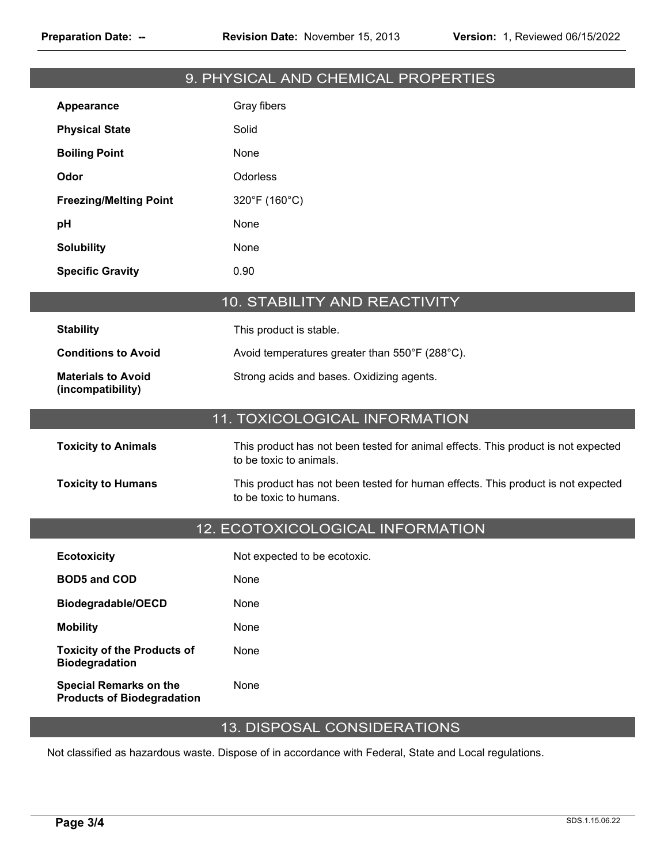# 9. PHYSICAL AND CHEMICAL PROPERTIES

| Appearance                    | Gray fibers   |
|-------------------------------|---------------|
| <b>Physical State</b>         | Solid         |
| <b>Boiling Point</b>          | None          |
| Odor                          | Odorless      |
| <b>Freezing/Melting Point</b> | 320°F (160°C) |
| рH                            | None          |
| <b>Solubility</b>             | None          |
| <b>Specific Gravity</b>       | 0.90          |

# 10. STABILITY AND REACTIVITY

| <b>Stability</b>                               | This product is stable.                        |
|------------------------------------------------|------------------------------------------------|
| <b>Conditions to Avoid</b>                     | Avoid temperatures greater than 550°F (288°C). |
| <b>Materials to Avoid</b><br>(incompatibility) | Strong acids and bases. Oxidizing agents.      |

# 11. TOXICOLOGICAL INFORMATION

| <b>Toxicity to Animals</b> | This product has not been tested for animal effects. This product is not expected<br>to be toxic to animals. |
|----------------------------|--------------------------------------------------------------------------------------------------------------|
| <b>Toxicity to Humans</b>  | This product has not been tested for human effects. This product is not expected<br>to be toxic to humans.   |

#### 12. ECOTOXICOLOGICAL INFORMATION

| <b>Ecotoxicity</b>                                                 | Not expected to be ecotoxic. |
|--------------------------------------------------------------------|------------------------------|
| <b>BOD5 and COD</b>                                                | None                         |
| Biodegradable/OECD                                                 | None                         |
| <b>Mobility</b>                                                    | None                         |
| <b>Toxicity of the Products of</b><br><b>Biodegradation</b>        | None                         |
| <b>Special Remarks on the</b><br><b>Products of Biodegradation</b> | None                         |

## 13. DISPOSAL CONSIDERATIONS

Not classified as hazardous waste. Dispose of in accordance with Federal, State and Local regulations.